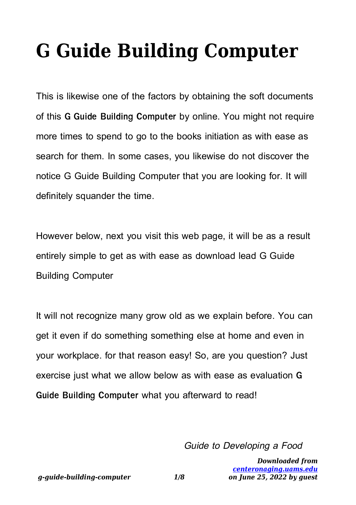## **G Guide Building Computer**

This is likewise one of the factors by obtaining the soft documents of this **G Guide Building Computer** by online. You might not require more times to spend to go to the books initiation as with ease as search for them. In some cases, you likewise do not discover the notice G Guide Building Computer that you are looking for. It will definitely squander the time.

However below, next you visit this web page, it will be as a result entirely simple to get as with ease as download lead G Guide Building Computer

It will not recognize many grow old as we explain before. You can get it even if do something something else at home and even in your workplace. for that reason easy! So, are you question? Just exercise just what we allow below as with ease as evaluation **G Guide Building Computer** what you afterward to read!

Guide to Developing a Food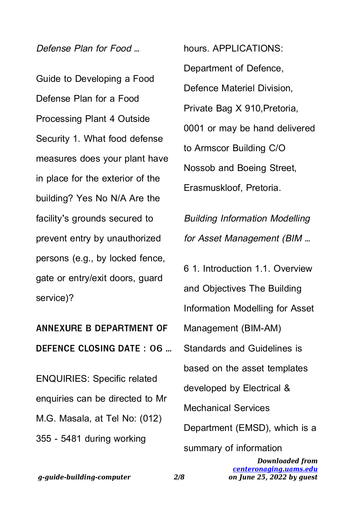Defense Plan for Food …

Guide to Developing a Food Defense Plan for a Food Processing Plant 4 Outside Security 1. What food defense measures does your plant have in place for the exterior of the building? Yes No N/A Are the facility's grounds secured to prevent entry by unauthorized persons (e.g., by locked fence, gate or entry/exit doors, guard service)?

**ANNEXURE B DEPARTMENT OF DEFENCE CLOSING DATE : 06 …**

ENQUIRIES: Specific related enquiries can be directed to Mr M.G. Masala, at Tel No: (012) 355 - 5481 during working

hours. APPLICATIONS: Department of Defence, Defence Materiel Division, Private Bag X 910,Pretoria, 0001 or may be hand delivered to Armscor Building C/O Nossob and Boeing Street, Erasmuskloof, Pretoria.

Building Information Modelling for Asset Management (BIM …

6 1. Introduction 1.1. Overview and Objectives The Building Information Modelling for Asset Management (BIM-AM) Standards and Guidelines is based on the asset templates developed by Electrical & Mechanical Services Department (EMSD), which is a summary of information

> *Downloaded from [centeronaging.uams.edu](http://centeronaging.uams.edu) on June 25, 2022 by guest*

*g-guide-building-computer 2/8*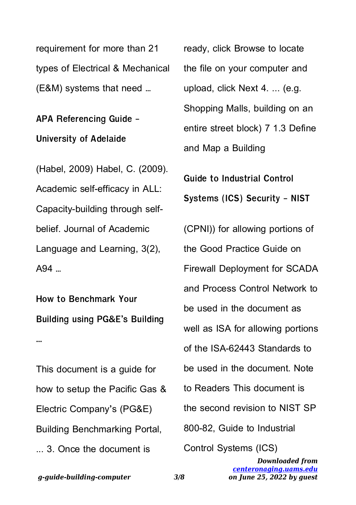requirement for more than 21 types of Electrical & Mechanical (E&M) systems that need …

**APA Referencing Guide - University of Adelaide**

(Habel, 2009) Habel, C. (2009). Academic self-efficacy in ALL: Capacity-building through selfbelief. Journal of Academic Language and Learning, 3(2), A94 …

**How to Benchmark Your Building using PG&E's Building …**

This document is a guide for how to setup the Pacific Gas & Electric Company's (PG&E) Building Benchmarking Portal, ... 3. Once the document is

ready, click Browse to locate the file on your computer and upload, click Next 4. ... (e.g. Shopping Malls, building on an entire street block) 7 1.3 Define and Map a Building

**Guide to Industrial Control Systems (ICS) Security - NIST**

(CPNI)) for allowing portions of the Good Practice Guide on Firewall Deployment for SCADA and Process Control Network to be used in the document as well as ISA for allowing portions of the ISA-62443 Standards to be used in the document. Note to Readers This document is the second revision to NIST SP 800-82, Guide to Industrial Control Systems (ICS)

*Downloaded from [centeronaging.uams.edu](http://centeronaging.uams.edu) on June 25, 2022 by guest*

*g-guide-building-computer 3/8*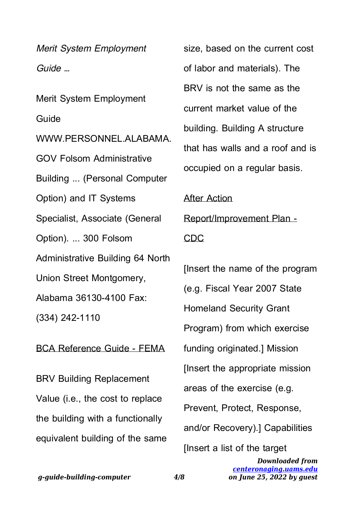Merit System Employment Guide …

Merit System Employment Guide WWW.PERSONNEL ALABAMA GOV Folsom Administrative Building ... (Personal Computer Option) and IT Systems Specialist, Associate (General Option). ... 300 Folsom Administrative Building 64 North Union Street Montgomery, Alabama 36130-4100 Fax: (334) 242-1110

BCA Reference Guide - FEMA

BRV Building Replacement Value (i.e., the cost to replace the building with a functionally equivalent building of the same size, based on the current cost of labor and materials). The BRV is not the same as the current market value of the building. Building A structure that has walls and a roof and is occupied on a regular basis.

After Action Report/Improvement Plan - CDC

[Insert the name of the program (e.g. Fiscal Year 2007 State Homeland Security Grant Program) from which exercise funding originated.] Mission [Insert the appropriate mission areas of the exercise (e.g. Prevent, Protect, Response, and/or Recovery).] Capabilities [Insert a list of the target

> *Downloaded from [centeronaging.uams.edu](http://centeronaging.uams.edu) on June 25, 2022 by guest*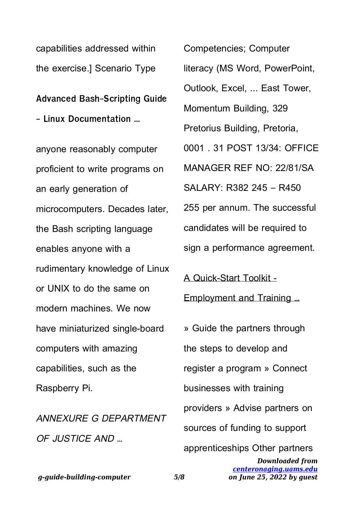*g-guide-building-computer 5/8*

capabilities addressed within the exercise.] Scenario Type

**Advanced Bash-Scripting Guide - Linux Documentation …**

anyone reasonably computer proficient to write programs on an early generation of microcomputers. Decades later, the Bash scripting language enables anyone with a rudimentary knowledge of Linux or UNIX to do the same on modern machines. We now have miniaturized single-board computers with amazing capabilities, such as the Raspberry Pi.

ANNEXURE G DEPARTMENT OF JUSTICE AND …

Competencies; Computer literacy (MS Word, PowerPoint, Outlook, Excel, ... East Tower, Momentum Building, 329 Pretorius Building, Pretoria, 0001 . 31 POST 13/34: OFFICE MANAGER REF NO: 22/81/SA SALARY: R382 245 – R450 255 per annum. The successful candidates will be required to sign a performance agreement.

*Downloaded from [centeronaging.uams.edu](http://centeronaging.uams.edu) on June 25, 2022 by guest* A Quick-Start Toolkit - Employment and Training … » Guide the partners through the steps to develop and register a program » Connect businesses with training providers » Advise partners on sources of funding to support apprenticeships Other partners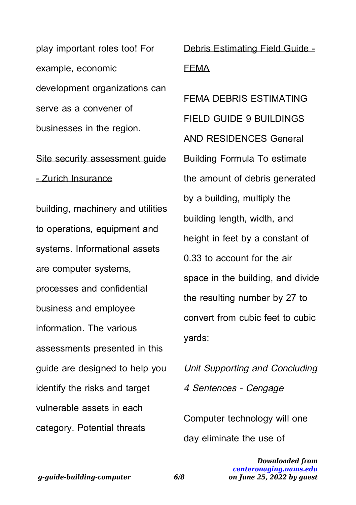play important roles too! For example, economic development organizations can serve as a convener of businesses in the region.

## Site security assessment quide - Zurich Insurance

building, machinery and utilities to operations, equipment and systems. Informational assets are computer systems, processes and confidential business and employee information. The various assessments presented in this guide are designed to help you identify the risks and target vulnerable assets in each category. Potential threats

Debris Estimating Field Guide - FEMA

FEMA DEBRIS ESTIMATING FIELD GUIDE 9 BUILDINGS AND RESIDENCES General Building Formula To estimate the amount of debris generated by a building, multiply the building length, width, and height in feet by a constant of 0.33 to account for the air space in the building, and divide the resulting number by 27 to convert from cubic feet to cubic yards:

Unit Supporting and Concluding 4 Sentences - Cengage

Computer technology will one day eliminate the use of

*g-guide-building-computer 6/8*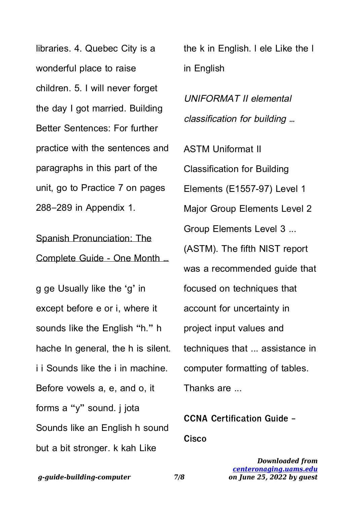libraries. 4. Quebec City is a wonderful place to raise children. 5. I will never forget the day I got married. Building Better Sentences: For further practice with the sentences and paragraphs in this part of the unit, go to Practice 7 on pages 288–289 in Appendix 1.

Spanish Pronunciation: The Complete Guide - One Month …

g ge Usually like the 'g' in except before e or i, where it sounds like the English "h." h hache In general, the h is silent. i i Sounds like the i in machine. Before vowels a, e, and o, it forms a "y" sound. j jota Sounds like an English h sound but a bit stronger. k kah Like

the k in English. l ele Like the l in English

UNIFORMAT II elemental classification for building …

ASTM Uniformat II Classification for Building Elements (E1557-97) Level 1 Major Group Elements Level 2 Group Elements Level 3 ... (ASTM). The fifth NIST report was a recommended quide that focused on techniques that account for uncertainty in project input values and techniques that ... assistance in computer formatting of tables. Thanks are ...

**CCNA Certification Guide - Cisco**

*g-guide-building-computer 7/8*